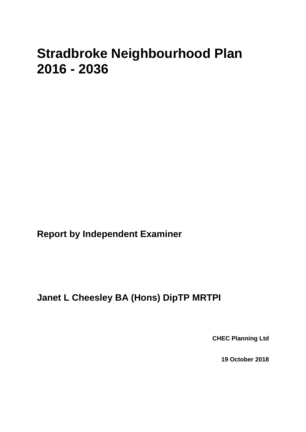# **Stradbroke Neighbourhood Plan 2016 - 2036**

**Report by Independent Examiner**

**Janet L Cheesley BA (Hons) DipTP MRTPI**

**CHEC Planning Ltd**

**19 October 2018**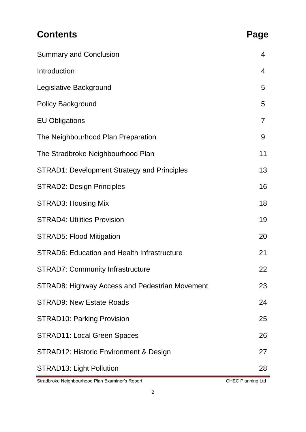| <b>Contents</b>                                    | Page              |
|----------------------------------------------------|-------------------|
| <b>Summary and Conclusion</b>                      | 4                 |
| Introduction                                       | 4                 |
| Legislative Background                             | 5                 |
| <b>Policy Background</b>                           | 5                 |
| <b>EU Obligations</b>                              | $\overline{7}$    |
| The Neighbourhood Plan Preparation                 | 9                 |
| The Stradbroke Neighbourhood Plan                  | 11                |
| <b>STRAD1: Development Strategy and Principles</b> | 13                |
| <b>STRAD2: Design Principles</b>                   | 16                |
| <b>STRAD3: Housing Mix</b>                         | 18                |
| <b>STRAD4: Utilities Provision</b>                 | 19                |
| <b>STRAD5: Flood Mitigation</b>                    | 20                |
| <b>STRAD6: Education and Health Infrastructure</b> | 21                |
| <b>STRAD7: Community Infrastructure</b>            | 22                |
| STRAD8: Highway Access and Pedestrian Movement     | 23                |
| <b>STRAD9: New Estate Roads</b>                    | 24                |
| <b>STRAD10: Parking Provision</b>                  | 25                |
| <b>STRAD11: Local Green Spaces</b>                 | 26                |
| STRAD12: Historic Environment & Design             | 27                |
| <b>STRAD13: Light Pollution</b>                    | 28                |
| Stradbroke Neighbourhood Plan Examiner's Report    | CHEC Planning Ltd |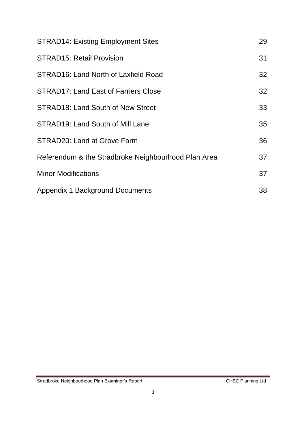| <b>STRAD14: Existing Employment Sites</b>           | 29 |
|-----------------------------------------------------|----|
| <b>STRAD15: Retail Provision</b>                    | 31 |
| STRAD16: Land North of Laxfield Road                | 32 |
| <b>STRAD17: Land East of Farriers Close</b>         | 32 |
| STRAD18: Land South of New Street                   | 33 |
| STRAD19: Land South of Mill Lane                    | 35 |
| STRAD20: Land at Grove Farm                         | 36 |
| Referendum & the Stradbroke Neighbourhood Plan Area | 37 |
| <b>Minor Modifications</b>                          | 37 |
| <b>Appendix 1 Background Documents</b>              | 38 |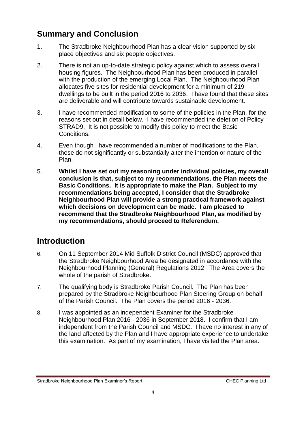# **Summary and Conclusion**

- 1. The Stradbroke Neighbourhood Plan has a clear vision supported by six place objectives and six people objectives.
- 2. There is not an up-to-date strategic policy against which to assess overall housing figures. The Neighbourhood Plan has been produced in parallel with the production of the emerging Local Plan. The Neighbourhood Plan allocates five sites for residential development for a minimum of 219 dwellings to be built in the period 2016 to 2036. I have found that these sites are deliverable and will contribute towards sustainable development.
- 3. I have recommended modification to some of the policies in the Plan, for the reasons set out in detail below. I have recommended the deletion of Policy STRAD9. It is not possible to modify this policy to meet the Basic Conditions.
- 4. Even though I have recommended a number of modifications to the Plan, these do not significantly or substantially alter the intention or nature of the Plan.
- 5. **Whilst I have set out my reasoning under individual policies, my overall conclusion is that, subject to my recommendations, the Plan meets the Basic Conditions. It is appropriate to make the Plan. Subject to my recommendations being accepted, I consider that the Stradbroke Neighbourhood Plan will provide a strong practical framework against which decisions on development can be made. I am pleased to recommend that the Stradbroke Neighbourhood Plan, as modified by my recommendations, should proceed to Referendum.**

# **Introduction**

- 6. On 11 September 2014 Mid Suffolk District Council (MSDC) approved that the Stradbroke Neighbourhood Area be designated in accordance with the Neighbourhood Planning (General) Regulations 2012. The Area covers the whole of the parish of Stradbroke.
- 7. The qualifying body is Stradbroke Parish Council. The Plan has been prepared by the Stradbroke Neighbourhood Plan Steering Group on behalf of the Parish Council. The Plan covers the period 2016 - 2036.
- 8. I was appointed as an independent Examiner for the Stradbroke Neighbourhood Plan 2016 - 2036 in September 2018. I confirm that I am independent from the Parish Council and MSDC. I have no interest in any of the land affected by the Plan and I have appropriate experience to undertake this examination. As part of my examination, I have visited the Plan area.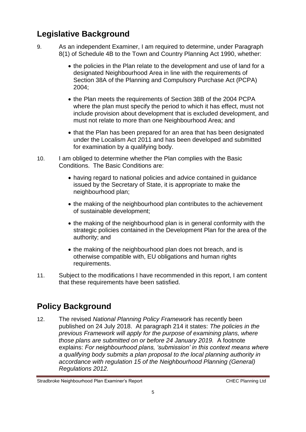# **Legislative Background**

- 9. As an independent Examiner, I am required to determine, under Paragraph 8(1) of Schedule 4B to the Town and Country Planning Act 1990, whether:
	- the policies in the Plan relate to the development and use of land for a designated Neighbourhood Area in line with the requirements of Section 38A of the Planning and Compulsory Purchase Act (PCPA) 2004;
	- the Plan meets the requirements of Section 38B of the 2004 PCPA where the plan must specify the period to which it has effect, must not include provision about development that is excluded development, and must not relate to more than one Neighbourhood Area; and
	- that the Plan has been prepared for an area that has been designated under the Localism Act 2011 and has been developed and submitted for examination by a qualifying body.
- 10. I am obliged to determine whether the Plan complies with the Basic Conditions. The Basic Conditions are:
	- having regard to national policies and advice contained in guidance issued by the Secretary of State, it is appropriate to make the neighbourhood plan;
	- the making of the neighbourhood plan contributes to the achievement of sustainable development;
	- the making of the neighbourhood plan is in general conformity with the strategic policies contained in the Development Plan for the area of the authority; and
	- the making of the neighbourhood plan does not breach, and is otherwise compatible with, EU obligations and human rights requirements.
- 11. Subject to the modifications I have recommended in this report, I am content that these requirements have been satisfied.

# **Policy Background**

12. The revised *National Planning Policy Framework* has recently been published on 24 July 2018. At paragraph 214 it states: *The policies in the previous Framework will apply for the purpose of examining plans, where those plans are submitted on or before 24 January 2019.* A footnote explains: *For neighbourhood plans, 'submission' in this context means where a qualifying body submits a plan proposal to the local planning authority in accordance with regulation 15 of the Neighbourhood Planning (General) Regulations 2012.*

Stradbroke Neighbourhood Plan Examiner's Report CHEC Planning Ltd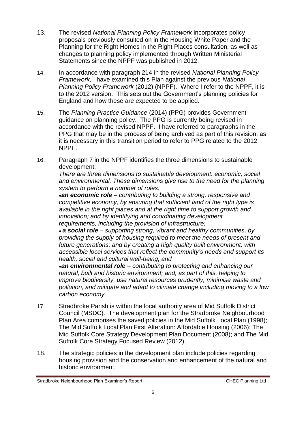- 13. The revised *National Planning Policy Framework* incorporates policy proposals previously consulted on in the Housing White Paper and the Planning for the Right Homes in the Right Places consultation, as well as changes to planning policy implemented through Written Ministerial Statements since the NPPF was published in 2012.
- 14. In accordance with paragraph 214 in the revised *National Planning Policy Framework*, I have examined this Plan against the previous *National Planning Policy Framework* (2012) (NPPF). Where I refer to the NPPF, it is to the 2012 version. This sets out the Government's planning policies for England and how these are expected to be applied.
- 15. The *Planning Practice Guidance* (2014) (PPG) provides Government guidance on planning policy. The PPG is currently being revised in accordance with the revised NPPF. I have referred to paragraphs in the PPG that may be in the process of being archived as part of this revision, as it is necessary in this transition period to refer to PPG related to the 2012 NPPF.
- 16. Paragraph 7 in the NPPF identifies the three dimensions to sustainable development:

*There are three dimensions to sustainable development: economic, social and environmental. These dimensions give rise to the need for the planning system to perform a number of roles:*

*●an economic role – contributing to building a strong, responsive and competitive economy, by ensuring that sufficient land of the right type is available in the right places and at the right time to support growth and innovation; and by identifying and coordinating development requirements, including the provision of infrastructure;*

*● a social role – supporting strong, vibrant and healthy communities, by providing the supply of housing required to meet the needs of present and future generations; and by creating a high quality built environment, with accessible local services that reflect the community's needs and support its health, social and cultural well-being; and*

*●an environmental role – contributing to protecting and enhancing our natural, built and historic environment; and, as part of this, helping to improve biodiversity, use natural resources prudently, minimise waste and pollution, and mitigate and adapt to climate change including moving to a low carbon economy.*

- 17. Stradbroke Parish is within the local authority area of Mid Suffolk District Council (MSDC). The development plan for the Stradbroke Neighbourhood Plan Area comprises the saved policies in the Mid Suffolk Local Plan (1998); The Mid Suffolk Local Plan First Alteration: Affordable Housing (2006); The Mid Suffolk Core Strategy Development Plan Document (2008); and The Mid Suffolk Core Strategy Focused Review (2012).
- 18. The strategic policies in the development plan include policies regarding housing provision and the conservation and enhancement of the natural and historic environment.

Stradbroke Neighbourhood Plan Examiner's Report CHEC Planning Ltd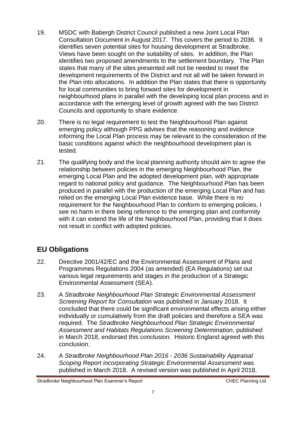- 19. MSDC with Babergh District Council published a new Joint Local Plan Consultation Document in August 2017. This covers the period to 2036. It identifies seven potential sites for housing development at Stradbroke. Views have been sought on the suitability of sites. In addition, the Plan identifies two proposed amendments to the settlement boundary. The Plan states that many of the sites presented will not be needed to meet the development requirements of the District and not all will be taken forward in the Plan into allocations. In addition the Plan states that there is opportunity for local communities to bring forward sites for development in neighbourhood plans in parallel with the developing local plan process and in accordance with the emerging level of growth agreed with the two District Councils and opportunity to share evidence.
- 20. There is no legal requirement to test the Neighbourhood Plan against emerging policy although PPG advises that the reasoning and evidence informing the Local Plan process may be relevant to the consideration of the basic conditions against which the neighbourhood development plan is tested.
- 21. The qualifying body and the local planning authority should aim to agree the relationship between policies in the emerging Neighbourhood Plan, the emerging Local Plan and the adopted development plan, with appropriate regard to national policy and guidance. The Neighbourhood Plan has been produced in parallel with the production of the emerging Local Plan and has relied on the emerging Local Plan evidence base. While there is no requirement for the Neighbourhood Plan to conform to emerging policies, I see no harm in there being reference to the emerging plan and conformity with it can extend the life of the Neighbourhood Plan, providing that it does not result in conflict with adopted policies.

### **EU Obligations**

- 22. Directive 2001/42/EC and the Environmental Assessment of Plans and Programmes Regulations 2004 (as amended) (EA Regulations) set out various legal requirements and stages in the production of a Strategic Environmental Assessment (SEA).
- 23. A *Stradbroke Neighbourhood Plan Strategic Environmental Assessment Screening Report for Consultation* was published in January 2018. It concluded that there could be significant environmental effects arising either individually or cumulatively from the draft policies and therefore a SEA was required. The *Stradbroke Neighbourhood Plan Strategic Environmental Assessment and Habitats Regulations Screening Determination,* published in March 2018, endorsed this conclusion. Historic England agreed with this conclusion.
- 24. A *Stradbroke Neighbourhood Plan 2016 - 2036 Sustainability Appraisal Scoping Report incorporating Strategic Environmental Assessment* was published in March 2018. A revised version was published in April 2018,

Stradbroke Neighbourhood Plan Examiner's Report CHEC Planning Ltd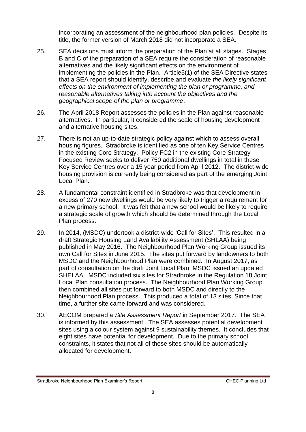incorporating an assessment of the neighbourhood plan policies. Despite its title, the former version of March 2018 did not incorporate a SEA.

- 25. SEA decisions must inform the preparation of the Plan at all stages. Stages B and C of the preparation of a SEA require the consideration of reasonable alternatives and the likely significant effects on the environment of implementing the policies in the Plan. Article5(1) of the SEA Directive states that a SEA report should identify, describe and evaluate *the likely significant effects on the environment of implementing the plan or programme, and reasonable alternatives taking into account the objectives and the geographical scope of the plan or programme*.
- 26. The April 2018 Report assesses the policies in the Plan against reasonable alternatives. In particular, it considered the scale of housing development and alternative housing sites.
- 27. There is not an up-to-date strategic policy against which to assess overall housing figures. Stradbroke is identified as one of ten Key Service Centres in the existing Core Strategy. Policy FC2 in the existing Core Strategy Focused Review seeks to deliver 750 additional dwellings in total in these Key Service Centres over a 15 year period from April 2012. The district-wide housing provision is currently being considered as part of the emerging Joint Local Plan.
- 28. A fundamental constraint identified in Stradbroke was that development in excess of 270 new dwellings would be very likely to trigger a requirement for a new primary school. It was felt that a new school would be likely to require a strategic scale of growth which should be determined through the Local Plan process.
- 29. In 2014, (MSDC) undertook a district-wide 'Call for Sites'. This resulted in a draft Strategic Housing Land Availability Assessment (SHLAA) being published in May 2016. The Neighbourhood Plan Working Group issued its own Call for Sites in June 2015. The sites put forward by landowners to both MSDC and the Neighbourhood Plan were combined. In August 2017, as part of consultation on the draft Joint Local Plan, MSDC issued an updated SHELAA. MSDC included six sites for Stradbroke in the Regulation 18 Joint Local Plan consultation process. The Neighbourhood Plan Working Group then combined all sites put forward to both MSDC and directly to the Neighbourhood Plan process. This produced a total of 13 sites. Since that time, a further site came forward and was considered.
- 30. AECOM prepared a *Site Assessment Report* in September 2017. The SEA is informed by this assessment. The SEA assesses potential development sites using a colour system against 9 sustainability themes. It concludes that eight sites have potential for development. Due to the primary school constraints, it states that not all of these sites should be automatically allocated for development.

Stradbroke Neighbourhood Plan Examiner's Report CHEC Planning Ltd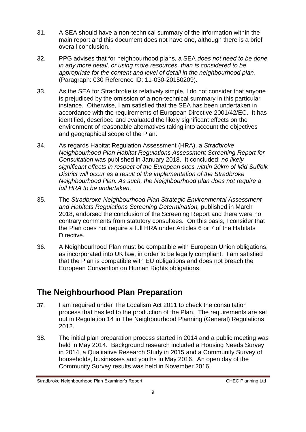- 31. A SEA should have a non-technical summary of the information within the main report and this document does not have one, although there is a brief overall conclusion.
- 32. PPG advises that for neighbourhood plans, a SEA *does not need to be done in any more detail, or using more resources, than is considered to be appropriate for the content and level of detail in the neighbourhood plan*. (Paragraph: 030 Reference ID: 11-030-20150209).
- 33. As the SEA for Stradbroke is relatively simple, I do not consider that anyone is prejudiced by the omission of a non-technical summary in this particular instance. Otherwise, I am satisfied that the SEA has been undertaken in accordance with the requirements of European Directive 2001/42/EC. It has identified, described and evaluated the likely significant effects on the environment of reasonable alternatives taking into account the objectives and geographical scope of the Plan.
- 34. As regards Habitat Regulation Assessment (HRA), a *Stradbroke Neighbourhood Plan Habitat Regulations Assessment Screening Report for Consultation* was published in January 2018. It concluded: *no likely significant effects in respect of the European sites within 20km of Mid Suffolk District will occur as a result of the implementation of the Stradbroke Neighbourhood Plan. As such, the Neighbourhood plan does not require a full HRA to be undertaken.*
- 35. The *Stradbroke Neighbourhood Plan Strategic Environmental Assessment and Habitats Regulations Screening Determination,* published in March 2018, endorsed the conclusion of the Screening Report and there were no contrary comments from statutory consultees. On this basis, I consider that the Plan does not require a full HRA under Articles 6 or 7 of the Habitats Directive.
- 36. A Neighbourhood Plan must be compatible with European Union obligations, as incorporated into UK law, in order to be legally compliant. I am satisfied that the Plan is compatible with EU obligations and does not breach the European Convention on Human Rights obligations.

# **The Neighbourhood Plan Preparation**

- 37. I am required under The Localism Act 2011 to check the consultation process that has led to the production of the Plan. The requirements are set out in Regulation 14 in The Neighbourhood Planning (General) Regulations 2012.
- 38. The initial plan preparation process started in 2014 and a public meeting was held in May 2014. Background research included a Housing Needs Survey in 2014, a Qualitative Research Study in 2015 and a Community Survey of households, businesses and youths in May 2016. An open day of the Community Survey results was held in November 2016.

Stradbroke Neighbourhood Plan Examiner's Report CHEC Planning Ltd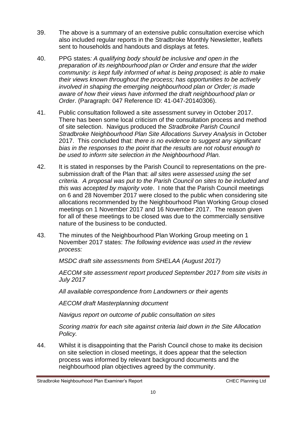- 39. The above is a summary of an extensive public consultation exercise which also included regular reports in the Stradbroke Monthly Newsletter, leaflets sent to households and handouts and displays at fetes.
- 40. PPG states*: A qualifying body should be inclusive and open in the preparation of its neighbourhood plan or Order and ensure that the wider community: is kept fully informed of what is being proposed; is able to make their views known throughout the process; has opportunities to be actively involved in shaping the emerging neighbourhood plan or Order; is made aware of how their views have informed the draft neighbourhood plan or Order*. (Paragraph: 047 Reference ID: 41-047-20140306).
- 41. Public consultation followed a site assessment survey in October 2017. There has been some local criticism of the consultation process and method of site selection. Navigus produced the *Stradbroke Parish Council Stradbroke Neighbourhood Plan Site Allocations Survey Analysis* in October 2017. This concluded that: *there is no evidence to suggest any significant bias in the responses to the point that the results are not robust enough to be used to inform site selection in the Neighbourhood Plan.*
- 42. It is stated in responses by the Parish Council to representations on the presubmission draft of the Plan that: *all sites were assessed using the set criteria. A proposal was put to the Parish Council on sites to be included and this was accepted by majority vote*. I note that the Parish Council meetings on 6 and 28 November 2017 were closed to the public when considering site allocations recommended by the Neighbourhood Plan Working Group closed meetings on 1 November 2017 and 16 November 2017. The reason given for all of these meetings to be closed was due to the commercially sensitive nature of the business to be conducted.
- 43. The minutes of the Neighbourhood Plan Working Group meeting on 1 November 2017 states: *The following evidence was used in the review process:*

*MSDC draft site assessments from SHELAA (August 2017)* 

*AECOM site assessment report produced September 2017 from site visits in July 2017* 

*All available correspondence from Landowners or their agents* 

*AECOM draft Masterplanning document* 

*Navigus report on outcome of public consultation on sites* 

*Scoring matrix for each site against criteria laid down in the Site Allocation Policy.* 

44. Whilst it is disappointing that the Parish Council chose to make its decision on site selection in closed meetings, it does appear that the selection process was informed by relevant background documents and the neighbourhood plan objectives agreed by the community.

Stradbroke Neighbourhood Plan Examiner's Report CHEC Planning Ltd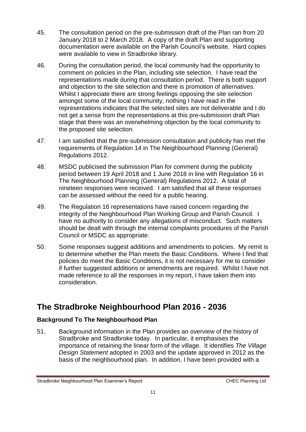- 45. The consultation period on the pre-submission draft of the Plan ran from 20 January 2018 to 2 March 2018. A copy of the draft Plan and supporting documentation were available on the Parish Council's website. Hard copies were available to view in Stradbroke library.
- 46. During the consultation period, the local community had the opportunity to comment on policies in the Plan, including site selection. I have read the representations made during that consultation period. There is both support and objection to the site selection and there is promotion of alternatives. Whilst I appreciate there are strong feelings opposing the site selection amongst some of the local community, nothing I have read in the representations indicates that the selected sites are not deliverable and I do not get a sense from the representations at this pre-submission draft Plan stage that there was an overwhelming objection by the local community to the proposed site selection.
- 47. I am satisfied that the pre-submission consultation and publicity has met the requirements of Regulation 14 in The Neighbourhood Planning (General) Regulations 2012.
- 48. MSDC publicised the submission Plan for comment during the publicity period between 19 April 2018 and 1 June 2018 in line with Regulation 16 in The Neighbourhood Planning (General) Regulations 2012. A total of nineteen responses were received. I am satisfied that all these responses can be assessed without the need for a public hearing.
- 49. The Regulation 16 representations have raised concern regarding the integrity of the Neighbourhood Plan Working Group and Parish Council. I have no authority to consider any allegations of misconduct. Such matters should be dealt with through the internal complaints procedures of the Parish Council or MSDC as appropriate.
- 50. Some responses suggest additions and amendments to policies. My remit is to determine whether the Plan meets the Basic Conditions. Where I find that policies do meet the Basic Conditions, it is not necessary for me to consider if further suggested additions or amendments are required. Whilst I have not made reference to all the responses in my report, I have taken them into consideration.

# **The Stradbroke Neighbourhood Plan 2016 - 2036**

#### **Background To The Neighbourhood Plan**

51. Background information in the Plan provides an overview of the history of Stradbroke and Stradbroke today. In particular, it emphasises the importance of retaining the linear form of the village. It identifies *The Village Design Statement* adopted in 2003 and the update approved in 2012 as the basis of the neighbourhood plan. In addition, I have been provided with a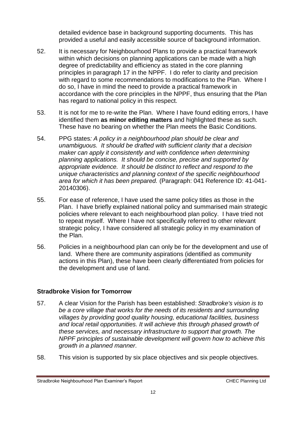detailed evidence base in background supporting documents. This has provided a useful and easily accessible source of background information.

- 52. It is necessary for Neighbourhood Plans to provide a practical framework within which decisions on planning applications can be made with a high degree of predictability and efficiency as stated in the core planning principles in paragraph 17 in the NPPF. I do refer to clarity and precision with regard to some recommendations to modifications to the Plan. Where I do so, I have in mind the need to provide a practical framework in accordance with the core principles in the NPPF, thus ensuring that the Plan has regard to national policy in this respect.
- 53. It is not for me to re-write the Plan. Where I have found editing errors, I have identified them **as minor editing matters** and highlighted these as such. These have no bearing on whether the Plan meets the Basic Conditions.
- 54. PPG states*: A policy in a neighbourhood plan should be clear and unambiguous. It should be drafted with sufficient clarity that a decision maker can apply it consistently and with confidence when determining planning applications. It should be concise, precise and supported by appropriate evidence. It should be distinct to reflect and respond to the unique characteristics and planning context of the specific neighbourhood area for which it has been prepared.* (Paragraph: 041 Reference ID: 41-041- 20140306).
- 55. For ease of reference, I have used the same policy titles as those in the Plan. I have briefly explained national policy and summarised main strategic policies where relevant to each neighbourhood plan policy. I have tried not to repeat myself. Where I have not specifically referred to other relevant strategic policy, I have considered all strategic policy in my examination of the Plan.
- 56. Policies in a neighbourhood plan can only be for the development and use of land. Where there are community aspirations (identified as community actions in this Plan), these have been clearly differentiated from policies for the development and use of land.

#### **Stradbroke Vision for Tomorrow**

- 57. A clear Vision for the Parish has been established: *Stradbroke's vision is to be a core village that works for the needs of its residents and surrounding villages by providing good quality housing, educational facilities, business and local retail opportunities. It will achieve this through phased growth of these services, and necessary infrastructure to support that growth. The NPPF principles of sustainable development will govern how to achieve this growth in a planned manner.*
- 58. This vision is supported by six place objectives and six people objectives.

Stradbroke Neighbourhood Plan Examiner's Report CHEC Planning Ltd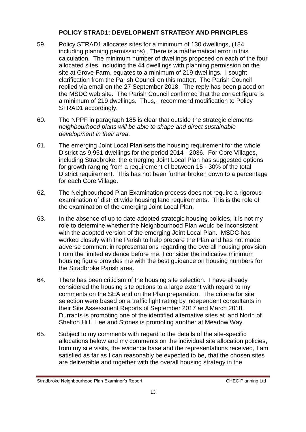#### **POLICY STRAD1: DEVELOPMENT STRATEGY AND PRINCIPLES**

- 59. Policy STRAD1 allocates sites for a minimum of 130 dwellings, (184 including planning permissions). There is a mathematical error in this calculation. The minimum number of dwellings proposed on each of the four allocated sites, including the 44 dwellings with planning permission on the site at Grove Farm, equates to a minimum of 219 dwellings. I sought clarification from the Parish Council on this matter. The Parish Council replied via email on the 27 September 2018. The reply has been placed on the MSDC web site. The Parish Council confirmed that the correct figure is a minimum of 219 dwellings. Thus, I recommend modification to Policy STRAD1 accordingly.
- 60. The NPPF in paragraph 185 is clear that outside the strategic elements *neighbourhood plans will be able to shape and direct sustainable development in their area.*
- 61. The emerging Joint Local Plan sets the housing requirement for the whole District as 9,951 dwellings for the period 2014 - 2036. For Core Villages, including Stradbroke, the emerging Joint Local Plan has suggested options for growth ranging from a requirement of between 15 - 30% of the total District requirement. This has not been further broken down to a percentage for each Core Village.
- 62. The Neighbourhood Plan Examination process does not require a rigorous examination of district wide housing land requirements. This is the role of the examination of the emerging Joint Local Plan.
- 63. In the absence of up to date adopted strategic housing policies, it is not my role to determine whether the Neighbourhood Plan would be inconsistent with the adopted version of the emerging Joint Local Plan. MSDC has worked closely with the Parish to help prepare the Plan and has not made adverse comment in representations regarding the overall housing provision. From the limited evidence before me, I consider the indicative minimum housing figure provides me with the best guidance on housing numbers for the Stradbroke Parish area.
- 64. There has been criticism of the housing site selection. I have already considered the housing site options to a large extent with regard to my comments on the SEA and on the Plan preparation. The criteria for site selection were based on a traffic light rating by independent consultants in their Site Assessment Reports of September 2017 and March 2018. Durrants is promoting one of the identified alternative sites at land North of Shelton Hill. Lee and Stones is promoting another at Meadow Way.
- 65. Subject to my comments with regard to the details of the site-specific allocations below and my comments on the individual site allocation policies, from my site visits, the evidence base and the representations received, I am satisfied as far as I can reasonably be expected to be, that the chosen sites are deliverable and together with the overall housing strategy in the

Stradbroke Neighbourhood Plan Examiner's Report CHEC Planning Ltd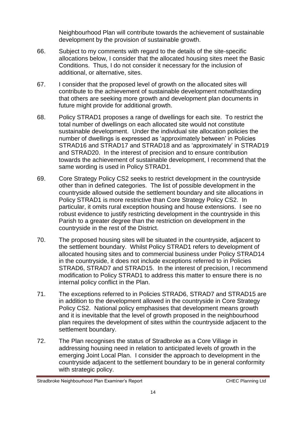Neighbourhood Plan will contribute towards the achievement of sustainable development by the provision of sustainable growth.

- 66. Subject to my comments with regard to the details of the site-specific allocations below, I consider that the allocated housing sites meet the Basic Conditions. Thus, I do not consider it necessary for the inclusion of additional, or alternative, sites.
- 67. I consider that the proposed level of growth on the allocated sites will contribute to the achievement of sustainable development notwithstanding that others are seeking more growth and development plan documents in future might provide for additional growth.
- 68. Policy STRAD1 proposes a range of dwellings for each site. To restrict the total number of dwellings on each allocated site would not constitute sustainable development. Under the individual site allocation policies the number of dwellings is expressed as 'approximately between' in Policies STRAD16 and STRAD17 and STRAD18 and as 'approximately' in STRAD19 and STRAD20. In the interest of precision and to ensure contribution towards the achievement of sustainable development, I recommend that the same wording is used in Policy STRAD1.
- 69. Core Strategy Policy CS2 seeks to restrict development in the countryside other than in defined categories. The list of possible development in the countryside allowed outside the settlement boundary and site allocations in Policy STRAD1 is more restrictive than Core Strategy Policy CS2. In particular, it omits rural exception housing and house extensions. I see no robust evidence to justify restricting development in the countryside in this Parish to a greater degree than the restriction on development in the countryside in the rest of the District.
- 70. The proposed housing sites will be situated in the countryside, adjacent to the settlement boundary. Whilst Policy STRAD1 refers to development of allocated housing sites and to commercial business under Policy STRAD14 in the countryside, it does not include exceptions referred to in Policies STRAD6, STRAD7 and STRAD15. In the interest of precision, I recommend modification to Policy STRAD1 to address this matter to ensure there is no internal policy conflict in the Plan.
- 71. The exceptions referred to in Policies STRAD6, STRAD7 and STRAD15 are in addition to the development allowed in the countryside in Core Strategy Policy CS2. National policy emphasises that development means growth and it is inevitable that the level of growth proposed in the neighbourhood plan requires the development of sites within the countryside adjacent to the settlement boundary.
- 72. The Plan recognises the status of Stradbroke as a Core Village in addressing housing need in relation to anticipated levels of growth in the emerging Joint Local Plan. I consider the approach to development in the countryside adjacent to the settlement boundary to be in general conformity with strategic policy.

Stradbroke Neighbourhood Plan Examiner's Report CHEC Planning Ltd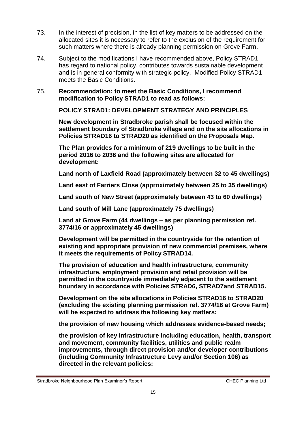- 73. In the interest of precision, in the list of key matters to be addressed on the allocated sites it is necessary to refer to the exclusion of the requirement for such matters where there is already planning permission on Grove Farm.
- 74. Subject to the modifications I have recommended above, Policy STRAD1 has regard to national policy, contributes towards sustainable development and is in general conformity with strategic policy. Modified Policy STRAD1 meets the Basic Conditions.
- 75. **Recommendation: to meet the Basic Conditions, I recommend modification to Policy STRAD1 to read as follows:**

**POLICY STRAD1: DEVELOPMENT STRATEGY AND PRINCIPLES** 

**New development in Stradbroke parish shall be focused within the settlement boundary of Stradbroke village and on the site allocations in Policies STRAD16 to STRAD20 as identified on the Proposals Map.** 

**The Plan provides for a minimum of 219 dwellings to be built in the period 2016 to 2036 and the following sites are allocated for development:** 

**Land north of Laxfield Road (approximately between 32 to 45 dwellings)** 

**Land east of Farriers Close (approximately between 25 to 35 dwellings)** 

**Land south of New Street (approximately between 43 to 60 dwellings)** 

**Land south of Mill Lane (approximately 75 dwellings)** 

**Land at Grove Farm (44 dwellings – as per planning permission ref. 3774/16 or approximately 45 dwellings)** 

**Development will be permitted in the countryside for the retention of existing and appropriate provision of new commercial premises, where it meets the requirements of Policy STRAD14.**

**The provision of education and health infrastructure, community infrastructure, employment provision and retail provision will be permitted in the countryside immediately adjacent to the settlement boundary in accordance with Policies STRAD6, STRAD7and STRAD15.**

**Development on the site allocations in Policies STRAD16 to STRAD20 (excluding the existing planning permission ref. 3774/16 at Grove Farm) will be expected to address the following key matters:** 

**the provision of new housing which addresses evidence-based needs;** 

**the provision of key infrastructure including education, health, transport and movement, community facilities, utilities and public realm improvements, through direct provision and/or developer contributions (including Community Infrastructure Levy and/or Section 106) as directed in the relevant policies;** 

Stradbroke Neighbourhood Plan Examiner's Report CHEC Planning Ltd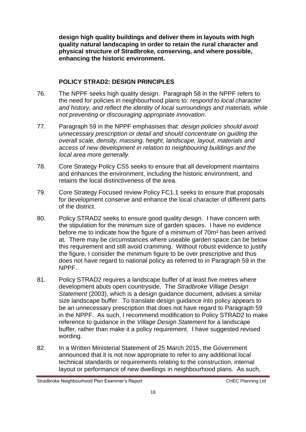**design high quality buildings and deliver them in layouts with high quality natural landscaping in order to retain the rural character and physical structure of Stradbroke, conserving, and where possible, enhancing the historic environment.**

#### **POLICY STRAD2: DESIGN PRINCIPLES**

- 76. The NPPF seeks high quality design. Paragraph 58 in the NPPF refers to the need for policies in neighbourhood plans to: *respond to local character and history, and reflect the identity of local surroundings and materials, while not preventing or discouraging appropriate innovation*.
- 77. Paragraph 59 in the NPPF emphasises that: *design policies should avoid unnecessary prescription or detail and should concentrate on guiding the overall scale, density, massing, height, landscape, layout, materials and access of new development in relation to neighbouring buildings and the local area more generally.*
- 78. Core Strategy Policy CS5 seeks to ensure that all development maintains and enhances the environment, including the historic environment, and retains the local distinctiveness of the area.
- 79. Core Strategy Focused review Policy FC1.1 seeks to ensure that proposals for development conserve and enhance the local character of different parts of the district.
- 80. Policy STRAD2 seeks to ensure good quality design. I have concern with the stipulation for the minimum size of garden spaces. I have no evidence before me to indicate how the figure of a minimum of 70m² has been arrived at. There may be circumstances where useable garden space can be below this requirement and still avoid cramming. Without robust evidence to justify the figure, I consider the minimum figure to be over prescriptive and thus does not have regard to national policy as referred to in Paragraph 59 in the NPPF.
- 81. Policy STRAD2 requires a landscape buffer of at least five metres where development abuts open countryside. The *Stradbroke Village Design Statement* (2003), which is a design guidance document, advises a similar size landscape buffer. To translate design guidance into policy appears to be an unnecessary prescription that does not have regard to Paragraph 59 in the NPPF. As such, I recommend modification to Policy STRAD2 to make reference to guidance in the *Village Design Statement* for a landscape buffer, rather than make it a policy requirement. I have suggested revised wording.
- 82. In a Written Ministerial Statement of 25 March 2015, the Government announced that it is not now appropriate to refer to any additional local technical standards or requirements relating to the construction, internal layout or performance of new dwellings in neighbourhood plans. As such,

Stradbroke Neighbourhood Plan Examiner's Report CHEC Planning Ltd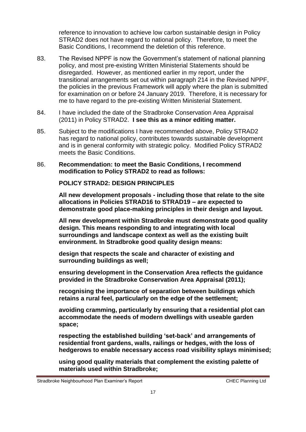reference to innovation to achieve low carbon sustainable design in Policy STRAD2 does not have regard to national policy. Therefore, to meet the Basic Conditions, I recommend the deletion of this reference.

- 83. The Revised NPPF is now the Government's statement of national planning policy, and most pre-existing Written Ministerial Statements should be disregarded. However, as mentioned earlier in my report, under the transitional arrangements set out within paragraph 214 in the Revised NPPF, the policies in the previous Framework will apply where the plan is submitted for examination on or before 24 January 2019. Therefore, it is necessary for me to have regard to the pre-existing Written Ministerial Statement.
- 84. I have included the date of the Stradbroke Conservation Area Appraisal (2011) in Policy STRAD2. **I see this as a minor editing matter.**
- 85. Subject to the modifications I have recommended above, Policy STRAD2 has regard to national policy, contributes towards sustainable development and is in general conformity with strategic policy. Modified Policy STRAD2 meets the Basic Conditions.
- 86. **Recommendation: to meet the Basic Conditions, I recommend modification to Policy STRAD2 to read as follows:**

**POLICY STRAD2: DESIGN PRINCIPLES** 

**All new development proposals - including those that relate to the site allocations in Policies STRAD16 to STRAD19 – are expected to demonstrate good place-making principles in their design and layout.** 

**All new development within Stradbroke must demonstrate good quality design. This means responding to and integrating with local surroundings and landscape context as well as the existing built environment. In Stradbroke good quality design means:** 

**design that respects the scale and character of existing and surrounding buildings as well;** 

**ensuring development in the Conservation Area reflects the guidance provided in the Stradbroke Conservation Area Appraisal (2011);** 

**recognising the importance of separation between buildings which retains a rural feel, particularly on the edge of the settlement;** 

**avoiding cramming, particularly by ensuring that a residential plot can accommodate the needs of modern dwellings with useable garden space;** 

**respecting the established building 'set-back' and arrangements of residential front gardens, walls, railings or hedges, with the loss of hedgerows to enable necessary access road visibility splays minimised;** 

**using good quality materials that complement the existing palette of materials used within Stradbroke;** 

Stradbroke Neighbourhood Plan Examiner's Report CHEC Planning Ltd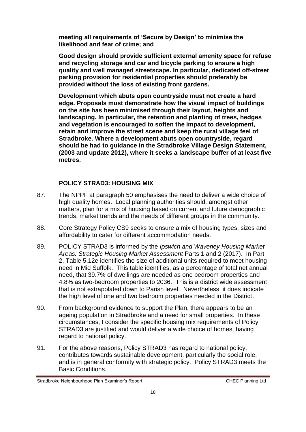**meeting all requirements of 'Secure by Design' to minimise the likelihood and fear of crime; and** 

**Good design should provide sufficient external amenity space for refuse and recycling storage and car and bicycle parking to ensure a high quality and well managed streetscape. In particular, dedicated off-street parking provision for residential properties should preferably be provided without the loss of existing front gardens.** 

**Development which abuts open countryside must not create a hard edge. Proposals must demonstrate how the visual impact of buildings on the site has been minimised through their layout, heights and landscaping. In particular, the retention and planting of trees, hedges and vegetation is encouraged to soften the impact to development, retain and improve the street scene and keep the rural village feel of Stradbroke. Where a development abuts open countryside, regard should be had to guidance in the Stradbroke Village Design Statement, (2003 and update 2012), where it seeks a landscape buffer of at least five metres.**

#### **POLICY STRAD3: HOUSING MIX**

- 87. The NPPF at paragraph 50 emphasises the need to deliver a wide choice of high quality homes. Local planning authorities should, amongst other matters, plan for a mix of housing based on current and future demographic trends, market trends and the needs of different groups in the community.
- 88. Core Strategy Policy CS9 seeks to ensure a mix of housing types, sizes and affordability to cater for different accommodation needs.
- 89. POLICY STRAD3 is informed by the *Ipswich and Waveney Housing Market Areas: Strategic Housing Market Assessment* Parts 1 and 2 (2017). In Part 2, Table 5.12e identifies the size of additional units required to meet housing need in Mid Suffolk. This table identifies, as a percentage of total net annual need, that 39.7% of dwellings are needed as one bedroom properties and 4.8% as two-bedroom properties to 2036. This is a district wide assessment that is not extrapolated down to Parish level. Nevertheless, it does indicate the high level of one and two bedroom properties needed in the District.
- 90. From background evidence to support the Plan, there appears to be an ageing population in Stradbroke and a need for small properties. In these circumstances, I consider the specific housing mix requirements of Policy STRAD3 are justified and would deliver a wide choice of homes, having regard to national policy.
- 91. For the above reasons, Policy STRAD3 has regard to national policy, contributes towards sustainable development, particularly the social role, and is in general conformity with strategic policy. Policy STRAD3 meets the Basic Conditions.

Stradbroke Neighbourhood Plan Examiner's Report CHEC Planning Ltd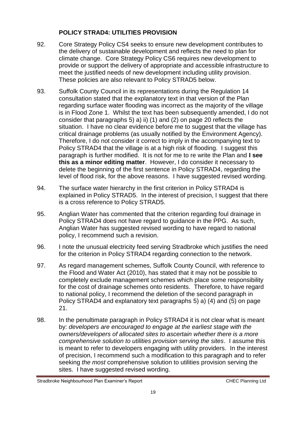#### **POLICY STRAD4: UTILITIES PROVISION**

- 92. Core Strategy Policy CS4 seeks to ensure new development contributes to the delivery of sustainable development and reflects the need to plan for climate change. Core Strategy Policy CS6 requires new development to provide or support the delivery of appropriate and accessible infrastructure to meet the justified needs of new development including utility provision. These policies are also relevant to Policy STRAD5 below.
- 93. Suffolk County Council in its representations during the Regulation 14 consultation stated that the explanatory text in that version of the Plan regarding surface water flooding was incorrect as the majority of the village is in Flood Zone 1. Whilst the text has been subsequently amended, I do not consider that paragraphs 5) a) ii) (1) and (2) on page 20 reflects the situation. I have no clear evidence before me to suggest that the village has critical drainage problems (as usually notified by the Environment Agency). Therefore, I do not consider it correct to imply in the accompanying text to Policy STRAD4 that the village is at a high risk of flooding. I suggest this paragraph is further modified. It is not for me to re write the Plan and **I see this as a minor editing matter**. However, I do consider it necessary to delete the beginning of the first sentence in Policy STRAD4, regarding the level of flood risk, for the above reasons. I have suggested revised wording.
- 94. The surface water hierarchy in the first criterion in Policy STRAD4 is explained in Policy STRAD5. In the interest of precision, I suggest that there is a cross reference to Policy STRAD5.
- 95. Anglian Water has commented that the criterion regarding foul drainage in Policy STRAD4 does not have regard to guidance in the PPG. As such, Anglian Water has suggested revised wording to have regard to national policy, I recommend such a revision.
- 96. I note the unusual electricity feed serving Stradbroke which justifies the need for the criterion in Policy STRAD4 regarding connection to the network.
- 97. As regard management schemes, Suffolk County Council, with reference to the Flood and Water Act (2010), has stated that it may not be possible to completely exclude management schemes which place some responsibility for the cost of drainage schemes onto residents. Therefore, to have regard to national policy, I recommend the deletion of the second paragraph in Policy STRAD4 and explanatory text paragraphs 5) a) (4) and (5) on page 21.
- 98. In the penultimate paragraph in Policy STRAD4 it is not clear what is meant by: *developers are encouraged to engage at the earliest stage with the owners/developers of allocated sites to ascertain whether there is a more comprehensive solution to utilities provision serving the sites*. I assume this is meant to refer to developers engaging with utility providers. In the interest of precision, I recommend such a modification to this paragraph and to refer seeking *the most* comprehensive solution to utilities provision serving the sites. I have suggested revised wording.

Stradbroke Neighbourhood Plan Examiner's Report CHEC Planning Ltd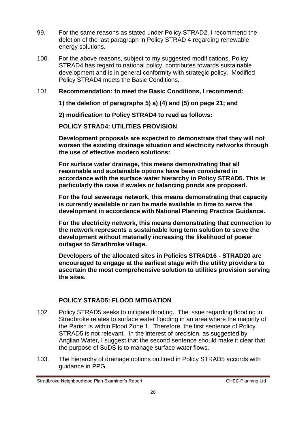- 99. For the same reasons as stated under Policy STRAD2, I recommend the deletion of the last paragraph in Policy STRAD 4 regarding renewable energy solutions.
- 100. For the above reasons, subject to my suggested modifications, Policy STRAD4 has regard to national policy, contributes towards sustainable development and is in general conformity with strategic policy. Modified Policy STRAD4 meets the Basic Conditions.
- 101. **Recommendation: to meet the Basic Conditions, I recommend:**

**1) the deletion of paragraphs 5) a) (4) and (5) on page 21; and** 

**2) modification to Policy STRAD4 to read as follows:**

**POLICY STRAD4: UTILITIES PROVISION** 

**Development proposals are expected to demonstrate that they will not worsen the existing drainage situation and electricity networks through the use of effective modern solutions:** 

**For surface water drainage, this means demonstrating that all reasonable and sustainable options have been considered in accordance with the surface water hierarchy in Policy STRAD5. This is particularly the case if swales or balancing ponds are proposed.** 

**For the foul sewerage network, this means demonstrating that capacity is currently available or can be made available in time to serve the development in accordance with National Planning Practice Guidance.** 

**For the electricity network, this means demonstrating that connection to the network represents a sustainable long term solution to serve the development without materially increasing the likelihood of power outages to Stradbroke village.** 

**Developers of the allocated sites in Policies STRAD16 - STRAD20 are encouraged to engage at the earliest stage with the utility providers to ascertain the most comprehensive solution to utilities provision serving the sites.** 

#### **POLICY STRAD5: FLOOD MITIGATION**

- 102. Policy STRAD5 seeks to mitigate flooding. The issue regarding flooding in Stradbroke relates to surface water flooding in an area where the majority of the Parish is within Flood Zone 1. Therefore, the first sentence of Policy STRAD5 is not relevant. In the interest of precision, as suggested by Anglian Water, I suggest that the second sentence should make it clear that the purpose of SuDS is to manage surface water flows.
- 103. The hierarchy of drainage options outlined in Policy STRAD5 accords with guidance in PPG.

Stradbroke Neighbourhood Plan Examiner's Report CHEC Planning Ltd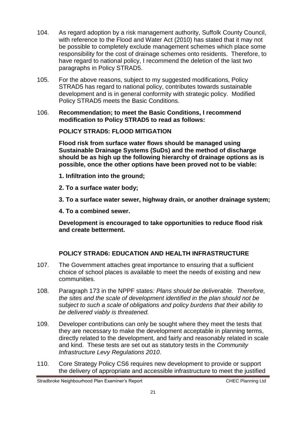- 104. As regard adoption by a risk management authority, Suffolk County Council, with reference to the Flood and Water Act (2010) has stated that it may not be possible to completely exclude management schemes which place some responsibility for the cost of drainage schemes onto residents. Therefore, to have regard to national policy, I recommend the deletion of the last two paragraphs in Policy STRAD5.
- 105. For the above reasons, subject to my suggested modifications, Policy STRAD5 has regard to national policy, contributes towards sustainable development and is in general conformity with strategic policy. Modified Policy STRAD5 meets the Basic Conditions.
- 106. **Recommendation; to meet the Basic Conditions, I recommend modification to Policy STRAD5 to read as follows:**

#### **POLICY STRAD5: FLOOD MITIGATION**

**Flood risk from surface water flows should be managed using Sustainable Drainage Systems (SuDs) and the method of discharge should be as high up the following hierarchy of drainage options as is possible, once the other options have been proved not to be viable:** 

- **1. Infiltration into the ground;**
- **2. To a surface water body;**
- **3. To a surface water sewer, highway drain, or another drainage system;**
- **4. To a combined sewer.**

**Development is encouraged to take opportunities to reduce flood risk and create betterment.**

#### **POLICY STRAD6: EDUCATION AND HEALTH INFRASTRUCTURE**

- 107. The Government attaches great importance to ensuring that a sufficient choice of school places is available to meet the needs of existing and new communities.
- 108. Paragraph 173 in the NPPF states*: Plans should be deliverable. Therefore, the sites and the scale of development identified in the plan should not be subject to such a scale of obligations and policy burdens that their ability to be delivered viably is threatened.*
- 109. Developer contributions can only be sought where they meet the tests that they are necessary to make the development acceptable in planning terms, directly related to the development, and fairly and reasonably related in scale and kind. These tests are set out as statutory tests in the *[Community](http://www.legislation.gov.uk/ukdsi/2010/9780111492390/part/11)  [Infrastructure Levy Regulations 2010](http://www.legislation.gov.uk/ukdsi/2010/9780111492390/part/11)*.
- 110. Core Strategy Policy CS6 requires new development to provide or support the delivery of appropriate and accessible infrastructure to meet the justified

Stradbroke Neighbourhood Plan Examiner's Report CHEC Planning Ltd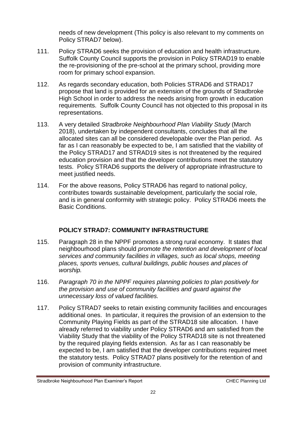needs of new development (This policy is also relevant to my comments on Policy STRAD7 below).

- 111. Policy STRAD6 seeks the provision of education and health infrastructure. Suffolk County Council supports the provision in Policy STRAD19 to enable the re-provisioning of the pre-school at the primary school, providing more room for primary school expansion.
- 112. As regards secondary education, both Policies STRAD6 and STRAD17 propose that land is provided for an extension of the grounds of Stradbroke High School in order to address the needs arising from growth in education requirements. Suffolk County Council has not objected to this proposal in its representations.
- 113. A very detailed *Stradbroke Neighbourhood Plan Viability Study* (March 2018), undertaken by independent consultants, concludes that all the allocated sites can all be considered developable over the Plan period. As far as I can reasonably be expected to be, I am satisfied that the viability of the Policy STRAD17 and STRAD19 sites is not threatened by the required education provision and that the developer contributions meet the statutory tests. Policy STRAD6 supports the delivery of appropriate infrastructure to meet justified needs.
- 114. For the above reasons, Policy STRAD6 has regard to national policy, contributes towards sustainable development, particularly the social role, and is in general conformity with strategic policy. Policy STRAD6 meets the Basic Conditions.

#### **POLICY STRAD7: COMMUNITY INFRASTRUCTURE**

- 115. Paragraph 28 in the NPPF promotes a strong rural economy. It states that neighbourhood plans should *promote the retention and development of local services and community facilities in villages, such as local shops, meeting places, sports venues, cultural buildings, public houses and places of worship.*
- 116. *Paragraph 70 in the NPPF requires planning policies to plan positively for the provision and use of community facilities and guard against the unnecessary loss of valued facilities.*
- 117. Policy STRAD7 seeks to retain existing community facilities and encourages additional ones. In particular, it requires the provision of an extension to the Community Playing Fields as part of the STRAD18 site allocation. I have already referred to viability under Policy STRAD6 and am satisfied from the Viability Study that the viability of the Policy STRAD18 site is not threatened by the required playing fields extension. As far as I can reasonably be expected to be, I am satisfied that the developer contributions required meet the statutory tests. Policy STRAD7 plans positively for the retention of and provision of community infrastructure.

Stradbroke Neighbourhood Plan Examiner's Report CHEC Planning Ltd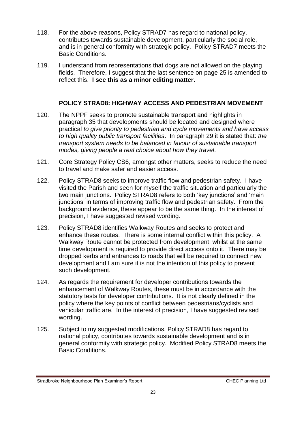- 118. For the above reasons, Policy STRAD7 has regard to national policy, contributes towards sustainable development, particularly the social role, and is in general conformity with strategic policy. Policy STRAD7 meets the Basic Conditions.
- 119. I understand from representations that dogs are not allowed on the playing fields. Therefore, I suggest that the last sentence on page 25 is amended to reflect this. **I see this as a minor editing matter**.

#### **POLICY STRAD8: HIGHWAY ACCESS AND PEDESTRIAN MOVEMENT**

- 120. The NPPF seeks to promote sustainable transport and highlights in paragraph 35 that developments should be located and designed where practical *to give priority to pedestrian and cycle movements and have access to high quality public transport facilities*. In paragraph 29 it is stated that: *the transport system needs to be balanced in favour of sustainable transport modes, giving people a real choice about how they travel*.
- 121. Core Strategy Policy CS6, amongst other matters, seeks to reduce the need to travel and make safer and easier access.
- 122. Policy STRAD8 seeks to improve traffic flow and pedestrian safety. I have visited the Parish and seen for myself the traffic situation and particularly the two main junctions. Policy STRAD8 refers to both 'key junctions' and 'main junctions' in terms of improving traffic flow and pedestrian safety. From the background evidence, these appear to be the same thing. In the interest of precision, I have suggested revised wording.
- 123. Policy STRAD8 identifies Walkway Routes and seeks to protect and enhance these routes. There is some internal conflict within this policy. A Walkway Route cannot be protected from development, whilst at the same time development is required to provide direct access onto it. There may be dropped kerbs and entrances to roads that will be required to connect new development and I am sure it is not the intention of this policy to prevent such development.
- 124. As regards the requirement for developer contributions towards the enhancement of Walkway Routes, these must be in accordance with the statutory tests for developer contributions. It is not clearly defined in the policy where the key points of conflict between pedestrians/cyclists and vehicular traffic are. In the interest of precision, I have suggested revised wording.
- 125. Subject to my suggested modifications, Policy STRAD8 has regard to national policy, contributes towards sustainable development and is in general conformity with strategic policy. Modified Policy STRAD8 meets the Basic Conditions.

Stradbroke Neighbourhood Plan Examiner's Report CHEC Planning Ltd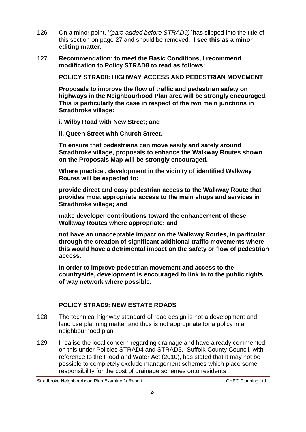- 126. On a minor point, '*(para added before STRAD9)'* has slipped into the title of this section on page 27 and should be removed. **I see this as a minor editing matter.**
- 127. **Recommendation: to meet the Basic Conditions, I recommend modification to Policy STRAD8 to read as follows:**

**POLICY STRAD8: HIGHWAY ACCESS AND PEDESTRIAN MOVEMENT**

**Proposals to improve the flow of traffic and pedestrian safety on highways in the Neighbourhood Plan area will be strongly encouraged. This is particularly the case in respect of the two main junctions in Stradbroke village:**

**i. Wilby Road with New Street; and**

**ii. Queen Street with Church Street.**

**To ensure that pedestrians can move easily and safely around Stradbroke village, proposals to enhance the Walkway Routes shown on the Proposals Map will be strongly encouraged.**

**Where practical, development in the vicinity of identified Walkway Routes will be expected to:**

**provide direct and easy pedestrian access to the Walkway Route that provides most appropriate access to the main shops and services in Stradbroke village; and**

**make developer contributions toward the enhancement of these Walkway Routes where appropriate; and**

**not have an unacceptable impact on the Walkway Routes, in particular through the creation of significant additional traffic movements where this would have a detrimental impact on the safety or flow of pedestrian access.**

**In order to improve pedestrian movement and access to the countryside, development is encouraged to link in to the public rights of way network where possible.**

#### **POLICY STRAD9: NEW ESTATE ROADS**

- 128. The technical highway standard of road design is not a development and land use planning matter and thus is not appropriate for a policy in a neighbourhood plan.
- 129. I realise the local concern regarding drainage and have already commented on this under Policies STRAD4 and STRAD5. Suffolk County Council, with reference to the Flood and Water Act (2010), has stated that it may not be possible to completely exclude management schemes which place some responsibility for the cost of drainage schemes onto residents.

Stradbroke Neighbourhood Plan Examiner's Report CHEC Planning Ltd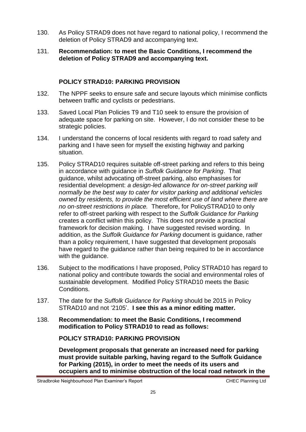- 130. As Policy STRAD9 does not have regard to national policy, I recommend the deletion of Policy STRAD9 and accompanying text.
- 131. **Recommendation: to meet the Basic Conditions, I recommend the deletion of Policy STRAD9 and accompanying text.**

#### **POLICY STRAD10: PARKING PROVISION**

- 132. The NPPF seeks to ensure safe and secure layouts which minimise conflicts between traffic and cyclists or pedestrians.
- 133. Saved Local Plan Policies T9 and T10 seek to ensure the provision of adequate space for parking on site. However, I do not consider these to be strategic policies.
- 134. I understand the concerns of local residents with regard to road safety and parking and I have seen for myself the existing highway and parking situation.
- 135. Policy STRAD10 requires suitable off-street parking and refers to this being in accordance with guidance in *Suffolk Guidance for Parking*. That guidance, whilst advocating off-street parking, also emphasises for residential development: *a design-led allowance for on-street parking will normally be the best way to cater for visitor parking and additional vehicles owned by residents, to provide the most efficient use of land where there are no on-street restrictions in place.* Therefore, for PolicySTRAD10 to only refer to off-street parking with respect to the *Suffolk Guidance for Parking* creates a conflict within this policy. This does not provide a practical framework for decision making. I have suggested revised wording. In addition, as the *Suffolk Guidance for Parking* document is guidance, rather than a policy requirement, I have suggested that development proposals have regard to the guidance rather than being required to be in accordance with the quidance.
- 136. Subject to the modifications I have proposed, Policy STRAD10 has regard to national policy and contribute towards the social and environmental roles of sustainable development. Modified Policy STRAD10 meets the Basic Conditions.
- 137. The date for the *Suffolk Guidance for Parking* should be 2015 in Policy STRAD10 and not '2105'. **I see this as a minor editing matter.**
- 138. **Recommendation: to meet the Basic Conditions, I recommend modification to Policy STRAD10 to read as follows:**

**POLICY STRAD10: PARKING PROVISION**

**Development proposals that generate an increased need for parking must provide suitable parking, having regard to the Suffolk Guidance for Parking (2015), in order to meet the needs of its users and occupiers and to minimise obstruction of the local road network in the**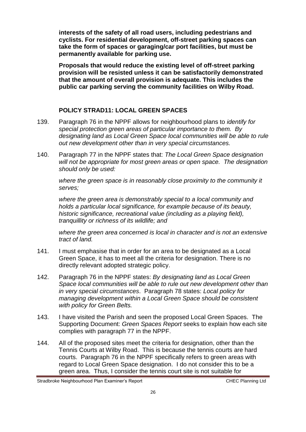**interests of the safety of all road users, including pedestrians and cyclists. For residential development, off-street parking spaces can take the form of spaces or garaging/car port facilities, but must be permanently available for parking use.**

**Proposals that would reduce the existing level of off-street parking provision will be resisted unless it can be satisfactorily demonstrated that the amount of overall provision is adequate. This includes the public car parking serving the community facilities on Wilby Road.**

#### **POLICY STRAD11: LOCAL GREEN SPACES**

- 139. Paragraph 76 in the NPPF allows for neighbourhood plans to *identify for special protection green areas of particular importance to them. By designating land as Local Green Space local communities will be able to rule out new development other than in very special circumstances.*
- 140. Paragraph 77 in the NPPF states that: *The Local Green Space designation will not be appropriate for most green areas or open space. The designation should only be used:*

*where the green space is in reasonably close proximity to the community it serves;*

*where the green area is demonstrably special to a local community and holds a particular local significance, for example because of its beauty, historic significance, recreational value (including as a playing field), tranquillity or richness of its wildlife; and*

*where the green area concerned is local in character and is not an extensive tract of land.*

- 141. I must emphasise that in order for an area to be designated as a Local Green Space, it has to meet all the criteria for designation. There is no directly relevant adopted strategic policy.
- 142. Paragraph 76 in the NPPF states: *By designating land as Local Green Space local communities will be able to rule out new development other than in very special circumstances*. Paragraph 78 states: *Local policy for managing development within a Local Green Space should be consistent with policy for Green Belts.*
- 143. I have visited the Parish and seen the proposed Local Green Spaces. The Supporting Document: *Green Spaces Report* seeks to explain how each site complies with paragraph 77 in the NPPF.
- 144. All of the proposed sites meet the criteria for designation, other than the Tennis Courts at Wilby Road. This is because the tennis courts are hard courts. Paragraph 76 in the NPPF specifically refers to green areas with regard to Local Green Space designation. I do not consider this to be a green area. Thus, I consider the tennis court site is not suitable for

Stradbroke Neighbourhood Plan Examiner's Report CHEC Planning Ltd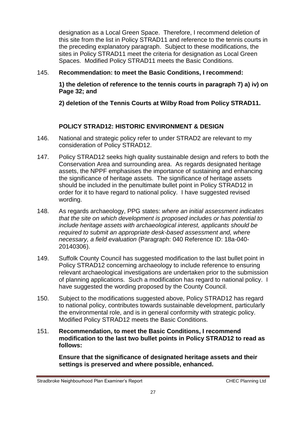designation as a Local Green Space. Therefore, I recommend deletion of this site from the list in Policy STRAD11 and reference to the tennis courts in the preceding explanatory paragraph. Subject to these modifications, the sites in Policy STRAD11 meet the criteria for designation as Local Green Spaces. Modified Policy STRAD11 meets the Basic Conditions.

#### 145. **Recommendation: to meet the Basic Conditions, I recommend:**

**1) the deletion of reference to the tennis courts in paragraph 7) a) iv) on Page 32; and** 

**2) deletion of the Tennis Courts at Wilby Road from Policy STRAD11.**

#### **POLICY STRAD12: HISTORIC ENVIRONMENT & DESIGN**

- 146. National and strategic policy refer to under STRAD2 are relevant to my consideration of Policy STRAD12.
- 147. Policy STRAD12 seeks high quality sustainable design and refers to both the Conservation Area and surrounding area. As regards designated heritage assets, the NPPF emphasises the importance of sustaining and enhancing the significance of heritage assets. The significance of heritage assets should be included in the penultimate bullet point in Policy STRAD12 in order for it to have regard to national policy. I have suggested revised wording.
- 148. As regards archaeology, PPG states: *where an initial assessment indicates that the site on which development is proposed includes or has potential to include heritage assets with archaeological interest, applicants should be required to submit an appropriate desk-based assessment and, where necessary, a field evaluation* (Paragraph: 040 Reference ID: 18a-040- 20140306).
- 149. Suffolk County Council has suggested modification to the last bullet point in Policy STRAD12 concerning archaeology to include reference to ensuring relevant archaeological investigations are undertaken prior to the submission of planning applications. Such a modification has regard to national policy. I have suggested the wording proposed by the County Council.
- 150. Subject to the modifications suggested above, Policy STRAD12 has regard to national policy, contributes towards sustainable development, particularly the environmental role, and is in general conformity with strategic policy. Modified Policy STRAD12 meets the Basic Conditions.
- 151. **Recommendation, to meet the Basic Conditions, I recommend modification to the last two bullet points in Policy STRAD12 to read as follows:**

**Ensure that the significance of designated heritage assets and their settings is preserved and where possible, enhanced.**

Stradbroke Neighbourhood Plan Examiner's Report CHEC Planning Ltd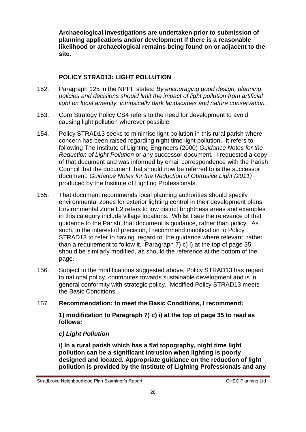**Archaeological investigations are undertaken prior to submission of planning applications and/or development if there is a reasonable likelihood or archaeological remains being found on or adjacent to the site.**

#### **POLICY STRAD13: LIGHT POLLUTION**

- 152. Paragraph 125 in the NPPF states: *By encouraging good design, planning policies and decisions should limit the impact of light pollution from artificial light on local amenity, intrinsically dark landscapes and nature conservation.*
- 153. Core Strategy Policy CS4 refers to the need for development to avoid causing light pollution wherever possible.
- 154. Policy STRAD13 seeks to minimise light pollution in this rural parish where concern has been raised regarding night time light pollution. It refers to following The Institute of Lighting Engineers (2000) *Guidance Notes for the Reduction of Light Pollution* or any successor document*.* I requested a copy of that document and was informed by email correspondence with the Parish Council that the document that should now be referred to is the successor document: *Guidance Notes for the Reduction of Obtrusive Light (2011)*  produced by the Institute of Lighting Professionals.
- 155. That document recommends local planning authorities should specify environmental zones for exterior lighting control in their development plans. Environmental Zone E2 refers to low district brightness areas and examples in this category include village locations. Whilst I see the relevance of that guidance to the Parish, that document is guidance, rather than policy. As such, in the interest of precision, I recommend modification to Policy STRAD13 to refer to having 'regard to' the guidance where relevant, rather than a requirement to follow it. Paragraph 7) c) i) at the top of page 35 should be similarly modified, as should the reference at the bottom of the page.
- 156. Subject to the modifications suggested above, Policy STRAD13 has regard to national policy, contributes towards sustainable development and is in general conformity with strategic policy. Modified Policy STRAD13 meets the Basic Conditions.

#### 157. **Recommendation: to meet the Basic Conditions, I recommend:**

**1) modification to Paragraph 7) c) i) at the top of page 35 to read as follows:**

#### *c) Light Pollution*

**i) In a rural parish which has a flat topography, night time light pollution can be a significant intrusion when lighting is poorly designed and located. Appropriate guidance on the reduction of light pollution is provided by the Institute of Lighting Professionals and any**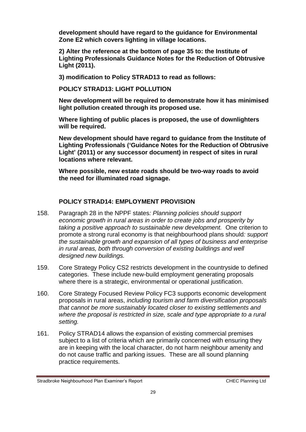**development should have regard to the guidance for Environmental Zone E2 which covers lighting in village locations.**

**2) Alter the reference at the bottom of page 35 to: the Institute of Lighting Professionals Guidance Notes for the Reduction of Obtrusive Light (2011).**

**3) modification to Policy STRAD13 to read as follows:** 

**POLICY STRAD13: LIGHT POLLUTION**

**New development will be required to demonstrate how it has minimised light pollution created through its proposed use.**

**Where lighting of public places is proposed, the use of downlighters will be required.**

**New development should have regard to guidance from the Institute of Lighting Professionals ('Guidance Notes for the Reduction of Obtrusive Light' (2011) or any successor document) in respect of sites in rural locations where relevant.**

**Where possible, new estate roads should be two-way roads to avoid the need for illuminated road signage.**

#### **POLICY STRAD14: EMPLOYMENT PROVISION**

- 158. Paragraph 28 in the NPPF states*: Planning policies should support economic growth in rural areas in order to create jobs and prosperity by taking a positive approach to sustainable new development.* One criterion to promote a strong rural economy is that neighbourhood plans should*: support the sustainable growth and expansion of all types of business and enterprise in rural areas, both through conversion of existing buildings and well designed new buildings.*
- 159. Core Strategy Policy CS2 restricts development in the countryside to defined categories. These include new-build employment generating proposals where there is a strategic, environmental or operational justification.
- 160. Core Strategy Focused Review Policy FC3 supports economic development proposals in rural areas, *including tourism and farm diversification proposals that cannot be more sustainably located closer to existing settlements and where the proposal is restricted in size, scale and type appropriate to a rural setting.*
- 161. Policy STRAD14 allows the expansion of existing commercial premises subject to a list of criteria which are primarily concerned with ensuring they are in keeping with the local character, do not harm neighbour amenity and do not cause traffic and parking issues. These are all sound planning practice requirements.

Stradbroke Neighbourhood Plan Examiner's Report CHEC Planning Ltd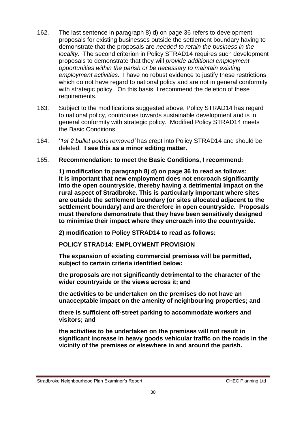- 162. The last sentence in paragraph 8) d) on page 36 refers to development proposals for existing businesses outside the settlement boundary having to demonstrate that the proposals are *needed to retain the business in the locality*. The second criterion in Policy STRAD14 requires such development proposals to demonstrate that they will *provide additional employment opportunities within the parish or be necessary to maintain existing employment activities.* I have no robust evidence to justify these restrictions which do not have regard to national policy and are not in general conformity with strategic policy. On this basis, I recommend the deletion of these requirements.
- 163. Subject to the modifications suggested above, Policy STRAD14 has regard to national policy, contributes towards sustainable development and is in general conformity with strategic policy. Modified Policy STRAD14 meets the Basic Conditions.
- 164. '*1st 2 bullet points removed'* has crept into Policy STRAD14 and should be deleted. **I see this as a minor editing matter.**
- 165. **Recommendation: to meet the Basic Conditions, I recommend:**

**1) modification to paragraph 8) d) on page 36 to read as follows: It is important that new employment does not encroach significantly into the open countryside, thereby having a detrimental impact on the rural aspect of Stradbroke. This is particularly important where sites are outside the settlement boundary (or sites allocated adjacent to the settlement boundary) and are therefore in open countryside. Proposals must therefore demonstrate that they have been sensitively designed to minimise their impact where they encroach into the countryside.**

**2) modification to Policy STRAD14 to read as follows:**

**POLICY STRAD14: EMPLOYMENT PROVISION**

**The expansion of existing commercial premises will be permitted, subject to certain criteria identified below:** 

**the proposals are not significantly detrimental to the character of the wider countryside or the views across it; and**

**the activities to be undertaken on the premises do not have an unacceptable impact on the amenity of neighbouring properties; and**

**there is sufficient off-street parking to accommodate workers and visitors; and**

**the activities to be undertaken on the premises will not result in significant increase in heavy goods vehicular traffic on the roads in the vicinity of the premises or elsewhere in and around the parish.**

Stradbroke Neighbourhood Plan Examiner's Report CHEC Planning Ltd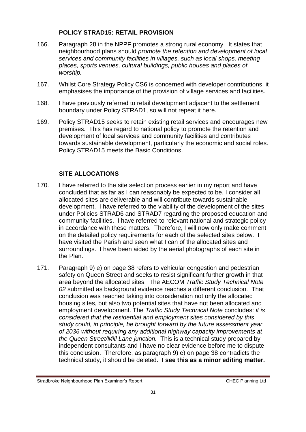#### **POLICY STRAD15: RETAIL PROVISION**

- 166. Paragraph 28 in the NPPF promotes a strong rural economy. It states that neighbourhood plans should *promote the retention and development of local services and community facilities in villages, such as local shops, meeting places, sports venues, cultural buildings, public houses and places of worship.*
- 167. Whilst Core Strategy Policy CS6 is concerned with developer contributions, it emphasises the importance of the provision of village services and facilities.
- 168. I have previously referred to retail development adjacent to the settlement boundary under Policy STRAD1, so will not repeat it here.
- 169. Policy STRAD15 seeks to retain existing retail services and encourages new premises. This has regard to national policy to promote the retention and development of local services and community facilities and contributes towards sustainable development, particularly the economic and social roles. Policy STRAD15 meets the Basic Conditions.

#### **SITE ALLOCATIONS**

- 170. I have referred to the site selection process earlier in my report and have concluded that as far as I can reasonably be expected to be, I consider all allocated sites are deliverable and will contribute towards sustainable development. I have referred to the viability of the development of the sites under Policies STRAD6 and STRAD7 regarding the proposed education and community facilities. I have referred to relevant national and strategic policy in accordance with these matters. Therefore, I will now only make comment on the detailed policy requirements for each of the selected sites below. I have visited the Parish and seen what I can of the allocated sites and surroundings. I have been aided by the aerial photographs of each site in the Plan.
- 171. Paragraph 9) e) on page 38 refers to vehicular congestion and pedestrian safety on Queen Street and seeks to resist significant further growth in that area beyond the allocated sites. The AECOM *Traffic Study Technical Note 02* submitted as background evidence reaches a different conclusion. That conclusion was reached taking into consideration not only the allocated housing sites, but also two potential sites that have not been allocated and employment development. The *Traffic Study Technical Note* concludes: *it is considered that the residential and employment sites considered by this study could, in principle, be brought forward by the future assessment year of 2036 without requiring any additional highway capacity improvements at the Queen Street/Mill Lane junction.* This is a technical study prepared by independent consultants and I have no clear evidence before me to dispute this conclusion. Therefore, as paragraph 9) e) on page 38 contradicts the technical study, it should be deleted. **I see this as a minor editing matter.**

Stradbroke Neighbourhood Plan Examiner's Report CHEC Planning Ltd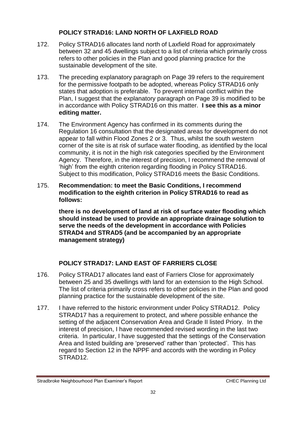#### **POLICY STRAD16: LAND NORTH OF LAXFIELD ROAD**

- 172. Policy STRAD16 allocates land north of Laxfield Road for approximately between 32 and 45 dwellings subject to a list of criteria which primarily cross refers to other policies in the Plan and good planning practice for the sustainable development of the site.
- 173. The preceding explanatory paragraph on Page 39 refers to the requirement for the permissive footpath to be adopted, whereas Policy STRAD16 only states that adoption is preferable. To prevent internal conflict within the Plan, I suggest that the explanatory paragraph on Page 39 is modified to be in accordance with Policy STRAD16 on this matter. **I see this as a minor editing matter.**
- 174. The Environment Agency has confirmed in its comments during the Regulation 16 consultation that the designated areas for development do not appear to fall within Flood Zones 2 or 3. Thus, whilst the south western corner of the site is at risk of surface water flooding, as identified by the local community, it is not in the high risk categories specified by the Environment Agency. Therefore, in the interest of precision, I recommend the removal of 'high' from the eighth criterion regarding flooding in Policy STRAD16. Subject to this modification, Policy STRAD16 meets the Basic Conditions.
- 175. **Recommendation: to meet the Basic Conditions, I recommend modification to the eighth criterion in Policy STRAD16 to read as follows:**

**there is no development of land at risk of surface water flooding which should instead be used to provide an appropriate drainage solution to serve the needs of the development in accordance with Policies STRAD4 and STRAD5 (and be accompanied by an appropriate management strategy)**

#### **POLICY STRAD17: LAND EAST OF FARRIERS CLOSE**

- 176. Policy STRAD17 allocates land east of Farriers Close for approximately between 25 and 35 dwellings with land for an extension to the High School. The list of criteria primarily cross refers to other policies in the Plan and good planning practice for the sustainable development of the site.
- 177. I have referred to the historic environment under Policy STRAD12. Policy STRAD17 has a requirement to protect, and where possible enhance the setting of the adjacent Conservation Area and Grade II listed Priory. In the interest of precision, I have recommended revised wording in the last two criteria. In particular, I have suggested that the settings of the Conservation Area and listed building are 'preserved' rather than 'protected'. This has regard to Section 12 in the NPPF and accords with the wording in Policy STRAD12.

Stradbroke Neighbourhood Plan Examiner's Report CHEC Planning Ltd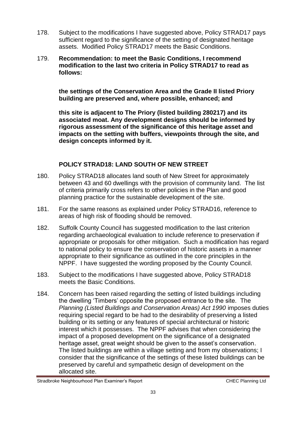- 178. Subject to the modifications I have suggested above, Policy STRAD17 pays sufficient regard to the significance of the setting of designated heritage assets. Modified Policy STRAD17 meets the Basic Conditions.
- 179. **Recommendation: to meet the Basic Conditions, I recommend modification to the last two criteria in Policy STRAD17 to read as follows:**

**the settings of the Conservation Area and the Grade II listed Priory building are preserved and, where possible, enhanced; and**

**this site is adjacent to The Priory (listed building 280217) and its associated moat. Any development designs should be informed by rigorous assessment of the significance of this heritage asset and impacts on the setting with buffers, viewpoints through the site, and design concepts informed by it.**

#### **POLICY STRAD18: LAND SOUTH OF NEW STREET**

- 180. Policy STRAD18 allocates land south of New Street for approximately between 43 and 60 dwellings with the provision of community land. The list of criteria primarily cross refers to other policies in the Plan and good planning practice for the sustainable development of the site.
- 181. For the same reasons as explained under Policy STRAD16, reference to areas of high risk of flooding should be removed.
- 182. Suffolk County Council has suggested modification to the last criterion regarding archaeological evaluation to include reference to preservation if appropriate or proposals for other mitigation. Such a modification has regard to national policy to ensure the conservation of historic assets in a manner appropriate to their significance as outlined in the core principles in the NPPF. I have suggested the wording proposed by the County Council.
- 183. Subject to the modifications I have suggested above, Policy STRAD18 meets the Basic Conditions.
- 184. Concern has been raised regarding the setting of listed buildings including the dwelling 'Timbers' opposite the proposed entrance to the site. The *Planning (Listed Buildings and Conservation Areas) Act 1990* imposes duties requiring special regard to be had to the desirability of preserving a listed building or its setting or any features of special architectural or historic interest which it possesses. The NPPF advises that when considering the impact of a proposed development on the significance of a designated heritage asset, great weight should be given to the asset's conservation. The listed buildings are within a village setting and from my observations; I consider that the significance of the settings of these listed buildings can be preserved by careful and sympathetic design of development on the allocated site.

Stradbroke Neighbourhood Plan Examiner's Report CHEC Planning Ltd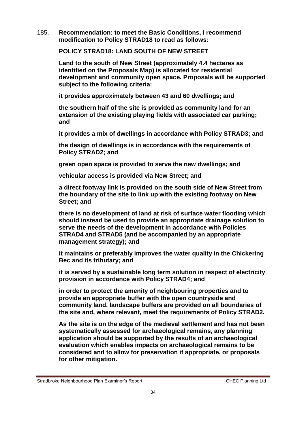185. **Recommendation: to meet the Basic Conditions, I recommend modification to Policy STRAD18 to read as follows:**

**POLICY STRAD18: LAND SOUTH OF NEW STREET**

**Land to the south of New Street (approximately 4.4 hectares as identified on the Proposals Map) is allocated for residential development and community open space. Proposals will be supported subject to the following criteria:**

**it provides approximately between 43 and 60 dwellings; and**

**the southern half of the site is provided as community land for an extension of the existing playing fields with associated car parking; and**

**it provides a mix of dwellings in accordance with Policy STRAD3; and**

**the design of dwellings is in accordance with the requirements of Policy STRAD2; and**

**green open space is provided to serve the new dwellings; and**

**vehicular access is provided via New Street; and**

**a direct footway link is provided on the south side of New Street from the boundary of the site to link up with the existing footway on New Street; and**

**there is no development of land at risk of surface water flooding which should instead be used to provide an appropriate drainage solution to serve the needs of the development in accordance with Policies STRAD4 and STRAD5 (and be accompanied by an appropriate management strategy); and**

**it maintains or preferably improves the water quality in the Chickering Bec and its tributary; and**

**it is served by a sustainable long term solution in respect of electricity provision in accordance with Policy STRAD4; and**

**in order to protect the amenity of neighbouring properties and to provide an appropriate buffer with the open countryside and community land, landscape buffers are provided on all boundaries of the site and, where relevant, meet the requirements of Policy STRAD2.**

**As the site is on the edge of the medieval settlement and has not been systematically assessed for archaeological remains, any planning application should be supported by the results of an archaeological evaluation which enables impacts on archaeological remains to be considered and to allow for preservation if appropriate, or proposals for other mitigation.**

Stradbroke Neighbourhood Plan Examiner's Report CHEC Planning Ltd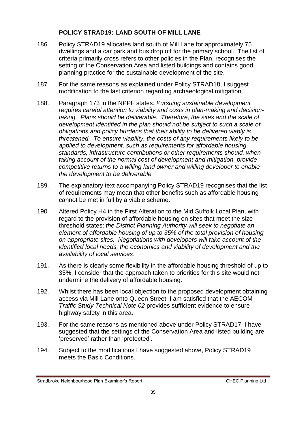#### **POLICY STRAD19: LAND SOUTH OF MILL LANE**

- 186. Policy STRAD19 allocates land south of Mill Lane for approximately 75 dwellings and a car park and bus drop off for the primary school. The list of criteria primarily cross refers to other policies in the Plan, recognises the setting of the Conservation Area and listed buildings and contains good planning practice for the sustainable development of the site.
- 187. For the same reasons as explained under Policy STRAD18, I suggest modification to the last criterion regarding archaeological mitigation.
- 188. Paragraph 173 in the NPPF states*: Pursuing sustainable development requires careful attention to viability and costs in plan-making and decisiontaking. Plans should be deliverable. Therefore, the sites and the scale of development identified in the plan should not be subject to such a scale of obligations and policy burdens that their ability to be delivered viably is threatened. To ensure viability, the costs of any requirements likely to be applied to development, such as requirements for affordable housing, standards, infrastructure contributions or other requirements should, when taking account of the normal cost of development and mitigation, provide competitive returns to a willing land owner and willing developer to enable the development to be deliverable.*
- 189. The explanatory text accompanying Policy STRAD19 recognises that the list of requirements may mean that other benefits such as affordable housing cannot be met in full by a viable scheme.
- 190. Altered Policy H4 in the First Alteration to the Mid Suffolk Local Plan, with regard to the provision of affordable housing on sites that meet the size threshold states: *the District Planning Authority will seek to negotiate an element of affordable housing of up to 35% of the total provision of housing on appropriate sites. Negotiations with developers will take account of the identified local needs, the economics and viability of development and the availability of local services*.
- 191. As there is clearly some flexibility in the affordable housing threshold of up to 35%, I consider that the approach taken to priorities for this site would not undermine the delivery of affordable housing.
- 192. Whilst there has been local objection to the proposed development obtaining access via Mill Lane onto Queen Street, I am satisfied that the AECOM *Traffic Study Technical Note 02* provides sufficient evidence to ensure highway safety in this area.
- 193. For the same reasons as mentioned above under Policy STRAD17, I have suggested that the settings of the Conservation Area and listed building are 'preserved' rather than 'protected'.
- 194. Subject to the modifications I have suggested above, Policy STRAD19 meets the Basic Conditions.

Stradbroke Neighbourhood Plan Examiner's Report CHEC Planning Ltd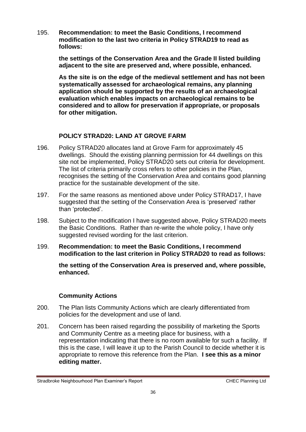195. **Recommendation: to meet the Basic Conditions, I recommend modification to the last two criteria in Policy STRAD19 to read as follows:**

> **the settings of the Conservation Area and the Grade II listed building adjacent to the site are preserved and, where possible, enhanced.**

**As the site is on the edge of the medieval settlement and has not been systematically assessed for archaeological remains, any planning application should be supported by the results of an archaeological evaluation which enables impacts on archaeological remains to be considered and to allow for preservation if appropriate, or proposals for other mitigation.**

#### **POLICY STRAD20: LAND AT GROVE FARM**

- 196. Policy STRAD20 allocates land at Grove Farm for approximately 45 dwellings. Should the existing planning permission for 44 dwellings on this site not be implemented, Policy STRAD20 sets out criteria for development. The list of criteria primarily cross refers to other policies in the Plan, recognises the setting of the Conservation Area and contains good planning practice for the sustainable development of the site.
- 197. For the same reasons as mentioned above under Policy STRAD17, I have suggested that the setting of the Conservation Area is 'preserved' rather than 'protected'.
- 198. Subject to the modification I have suggested above, Policy STRAD20 meets the Basic Conditions. Rather than re-write the whole policy, I have only suggested revised wording for the last criterion.
- 199. **Recommendation: to meet the Basic Conditions, I recommend modification to the last criterion in Policy STRAD20 to read as follows:**

**the setting of the Conservation Area is preserved and, where possible, enhanced.**

#### **Community Actions**

- 200. The Plan lists Community Actions which are clearly differentiated from policies for the development and use of land.
- 201. Concern has been raised regarding the possibility of marketing the Sports and Community Centre as a meeting place for business, with a representation indicating that there is no room available for such a facility. If this is the case, I will leave it up to the Parish Council to decide whether it is appropriate to remove this reference from the Plan. **I see this as a minor editing matter.**

Stradbroke Neighbourhood Plan Examiner's Report CHEC Planning Ltd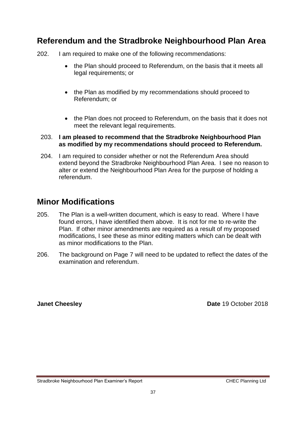### **Referendum and the Stradbroke Neighbourhood Plan Area**

- 202. I am required to make one of the following recommendations:
	- the Plan should proceed to Referendum, on the basis that it meets all legal requirements; or
	- the Plan as modified by my recommendations should proceed to Referendum; or
	- the Plan does not proceed to Referendum, on the basis that it does not meet the relevant legal requirements.

#### 203. **I am pleased to recommend that the Stradbroke Neighbourhood Plan as modified by my recommendations should proceed to Referendum.**

204. I am required to consider whether or not the Referendum Area should extend beyond the Stradbroke Neighbourhood Plan Area. I see no reason to alter or extend the Neighbourhood Plan Area for the purpose of holding a referendum.

# **Minor Modifications**

- 205. The Plan is a well-written document, which is easy to read. Where I have found errors, I have identified them above. It is not for me to re-write the Plan. If other minor amendments are required as a result of my proposed modifications, I see these as minor editing matters which can be dealt with as minor modifications to the Plan.
- 206. The background on Page 7 will need to be updated to reflect the dates of the examination and referendum.

**Janet Cheesley Date 19 October 2018**